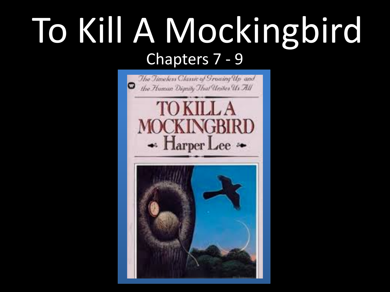## To Kill A Mockingbird Chapters 7 - 9

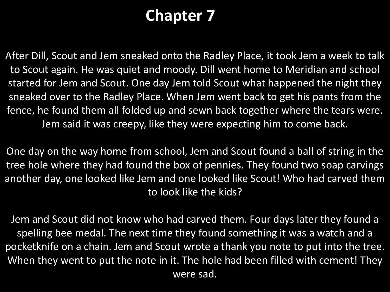## **Chapter 7**

After Dill, Scout and Jem sneaked onto the Radley Place, it took Jem a week to talk to Scout again. He was quiet and moody. Dill went home to Meridian and school started for Jem and Scout. One day Jem told Scout what happened the night they sneaked over to the Radley Place. When Jem went back to get his pants from the fence, he found them all folded up and sewn back together where the tears were. Jem said it was creepy, like they were expecting him to come back.

One day on the way home from school, Jem and Scout found a ball of string in the tree hole where they had found the box of pennies. They found two soap carvings another day, one looked like Jem and one looked like Scout! Who had carved them to look like the kids?

Jem and Scout did not know who had carved them. Four days later they found a spelling bee medal. The next time they found something it was a watch and a pocketknife on a chain. Jem and Scout wrote a thank you note to put into the tree. When they went to put the note in it. The hole had been filled with cement! They were sad.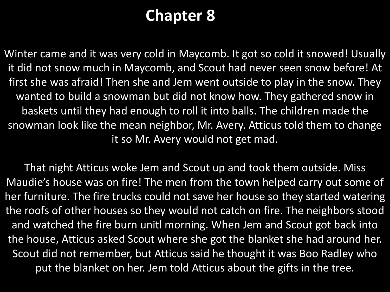## **Chapter 8**

Winter came and it was very cold in Maycomb. It got so cold it snowed! Usually it did not snow much in Maycomb, and Scout had never seen snow before! At first she was afraid! Then she and Jem went outside to play in the snow. They wanted to build a snowman but did not know how. They gathered snow in baskets until they had enough to roll it into balls. The children made the snowman look like the mean neighbor, Mr. Avery. Atticus told them to change it so Mr. Avery would not get mad.

That night Atticus woke Jem and Scout up and took them outside. Miss Maudie's house was on fire! The men from the town helped carry out some of her furniture. The fire trucks could not save her house so they started watering the roofs of other houses so they would not catch on fire. The neighbors stood and watched the fire burn unitl morning. When Jem and Scout got back into the house, Atticus asked Scout where she got the blanket she had around her. Scout did not remember, but Atticus said he thought it was Boo Radley who put the blanket on her. Jem told Atticus about the gifts in the tree.